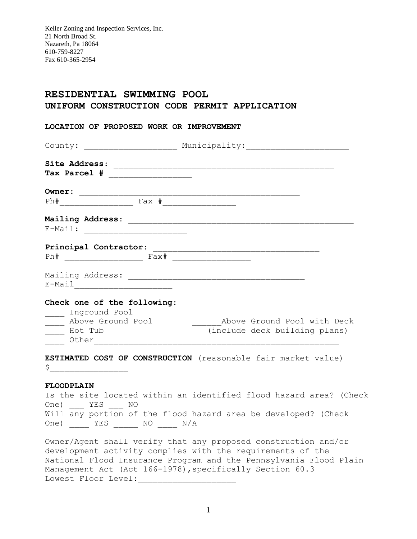Keller Zoning and Inspection Services, Inc. 21 North Broad St. Nazareth, Pa 18064 610-759-8227 Fax 610-365-2954

## **RESIDENTIAL SWIMMING POOL UNIFORM CONSTRUCTION CODE PERMIT APPLICATION**

| LOCATION OF PROPOSED WORK OR IMPROVEMENT                                                                                                                                                                                                                                                                                                            |                                                                                  |
|-----------------------------------------------------------------------------------------------------------------------------------------------------------------------------------------------------------------------------------------------------------------------------------------------------------------------------------------------------|----------------------------------------------------------------------------------|
|                                                                                                                                                                                                                                                                                                                                                     | County: _________________________ Municipality: ________________________________ |
|                                                                                                                                                                                                                                                                                                                                                     |                                                                                  |
|                                                                                                                                                                                                                                                                                                                                                     |                                                                                  |
| Owner:                                                                                                                                                                                                                                                                                                                                              |                                                                                  |
|                                                                                                                                                                                                                                                                                                                                                     |                                                                                  |
|                                                                                                                                                                                                                                                                                                                                                     |                                                                                  |
| E-Mail: <u>_____________________</u>                                                                                                                                                                                                                                                                                                                |                                                                                  |
| Principal Contractor:                                                                                                                                                                                                                                                                                                                               |                                                                                  |
|                                                                                                                                                                                                                                                                                                                                                     |                                                                                  |
| Mailing Address: Mailing Address: Mailing Address: Mailing Address: Mailing Address: Mailing Address: Mailing                                                                                                                                                                                                                                       |                                                                                  |
| Check one of the following:                                                                                                                                                                                                                                                                                                                         |                                                                                  |
| _____ Inground Pool<br>_____ Above Ground Pool                                                                                                                                                                                                                                                                                                      | Above Ground Pool with Deck                                                      |
| Hot Tub<br>Other                                                                                                                                                                                                                                                                                                                                    | (include deck building plans)                                                    |
| $\begin{picture}(20,10) \put(0,0){\line(1,0){10}} \put(15,0){\line(1,0){10}} \put(15,0){\line(1,0){10}} \put(15,0){\line(1,0){10}} \put(15,0){\line(1,0){10}} \put(15,0){\line(1,0){10}} \put(15,0){\line(1,0){10}} \put(15,0){\line(1,0){10}} \put(15,0){\line(1,0){10}} \put(15,0){\line(1,0){10}} \put(15,0){\line(1,0){10}} \put(15,0){\line(1$ | ESTIMATED COST OF CONSTRUCTION (reasonable fair market value)                    |
| <b>FLOODPLAIN</b>                                                                                                                                                                                                                                                                                                                                   |                                                                                  |
|                                                                                                                                                                                                                                                                                                                                                     | Is the site located within an identified flood hazard area? (Check               |
| One) YES NO                                                                                                                                                                                                                                                                                                                                         |                                                                                  |

Will any portion of the flood hazard area be developed? (Check One) \_\_\_\_ YES \_\_\_\_\_ NO \_\_\_\_ N/A

Owner/Agent shall verify that any proposed construction and/or development activity complies with the requirements of the National Flood Insurance Program and the Pennsylvania Flood Plain Management Act (Act 166-1978), specifically Section 60.3 Lowest Floor Level: